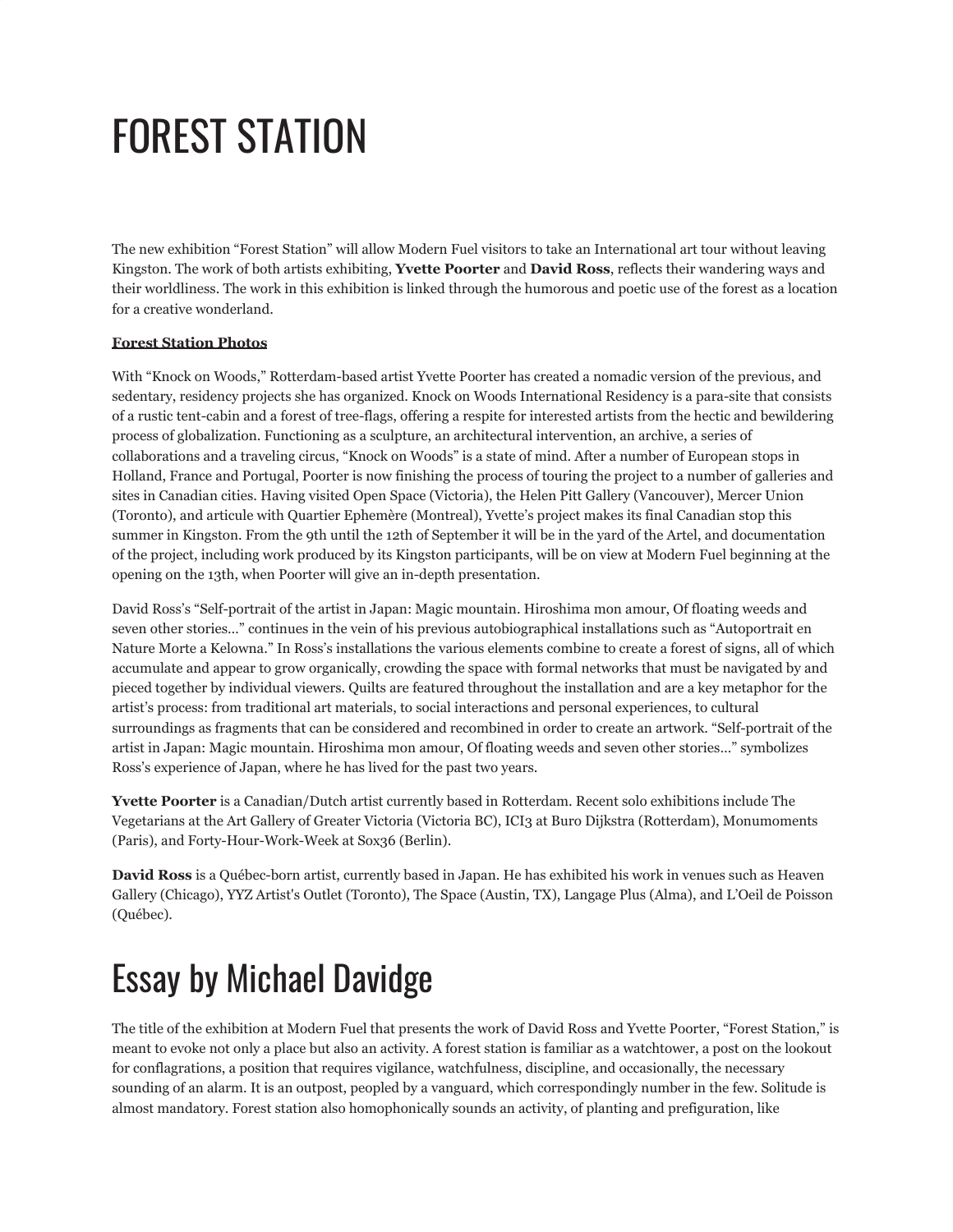## FOREST STATION

The new exhibition "Forest Station" will allow Modern Fuel visitors to take an International art tour without leaving Kingston. The work of both artists exhibiting, **Yvette Poorter** and **David Ross**, reflects their wandering ways and their worldliness. The work in this exhibition is linked through the humorous and poetic use of the forest as a location for a creative wonderland.

## **[Forest Station Photos](http://www.flickr.com/photos/modernfuel/sets/72157613127506600/)**

With "Knock on Woods," Rotterdam-based artist Yvette Poorter has created a nomadic version of the previous, and sedentary, residency projects she has organized. Knock on Woods International Residency is a para-site that consists of a rustic tent-cabin and a forest of tree-flags, offering a respite for interested artists from the hectic and bewildering process of globalization. Functioning as a sculpture, an architectural intervention, an archive, a series of collaborations and a traveling circus, "Knock on Woods" is a state of mind. After a number of European stops in Holland, France and Portugal, Poorter is now finishing the process of touring the project to a number of galleries and sites in Canadian cities. Having visited Open Space (Victoria), the Helen Pitt Gallery (Vancouver), Mercer Union (Toronto), and articule with Quartier Ephemère (Montreal), Yvette's project makes its final Canadian stop this summer in Kingston. From the 9th until the 12th of September it will be in the yard of the Artel, and documentation of the project, including work produced by its Kingston participants, will be on view at Modern Fuel beginning at the opening on the 13th, when Poorter will give an in-depth presentation.

David Ross's "Self-portrait of the artist in Japan: Magic mountain. Hiroshima mon amour, Of floating weeds and seven other stories…" continues in the vein of his previous autobiographical installations such as "Autoportrait en Nature Morte a Kelowna." In Ross's installations the various elements combine to create a forest of signs, all of which accumulate and appear to grow organically, crowding the space with formal networks that must be navigated by and pieced together by individual viewers. Quilts are featured throughout the installation and are a key metaphor for the artist's process: from traditional art materials, to social interactions and personal experiences, to cultural surroundings as fragments that can be considered and recombined in order to create an artwork. "Self-portrait of the artist in Japan: Magic mountain. Hiroshima mon amour, Of floating weeds and seven other stories…" symbolizes Ross's experience of Japan, where he has lived for the past two years.

**Yvette Poorter** is a Canadian/Dutch artist currently based in Rotterdam. Recent solo exhibitions include The Vegetarians at the Art Gallery of Greater Victoria (Victoria BC), ICI3 at Buro Dijkstra (Rotterdam), Monumoments (Paris), and Forty-Hour-Work-Week at Sox36 (Berlin).

**David Ross** is a Québec-born artist, currently based in Japan. He has exhibited his work in venues such as Heaven Gallery (Chicago), YYZ Artist's Outlet (Toronto), The Space (Austin, TX), Langage Plus (Alma), and L'Oeil de Poisson (Québec).

## Essay by Michael Davidge

The title of the exhibition at Modern Fuel that presents the work of David Ross and Yvette Poorter, "Forest Station," is meant to evoke not only a place but also an activity. A forest station is familiar as a watchtower, a post on the lookout for conflagrations, a position that requires vigilance, watchfulness, discipline, and occasionally, the necessary sounding of an alarm. It is an outpost, peopled by a vanguard, which correspondingly number in the few. Solitude is almost mandatory. Forest station also homophonically sounds an activity, of planting and prefiguration, like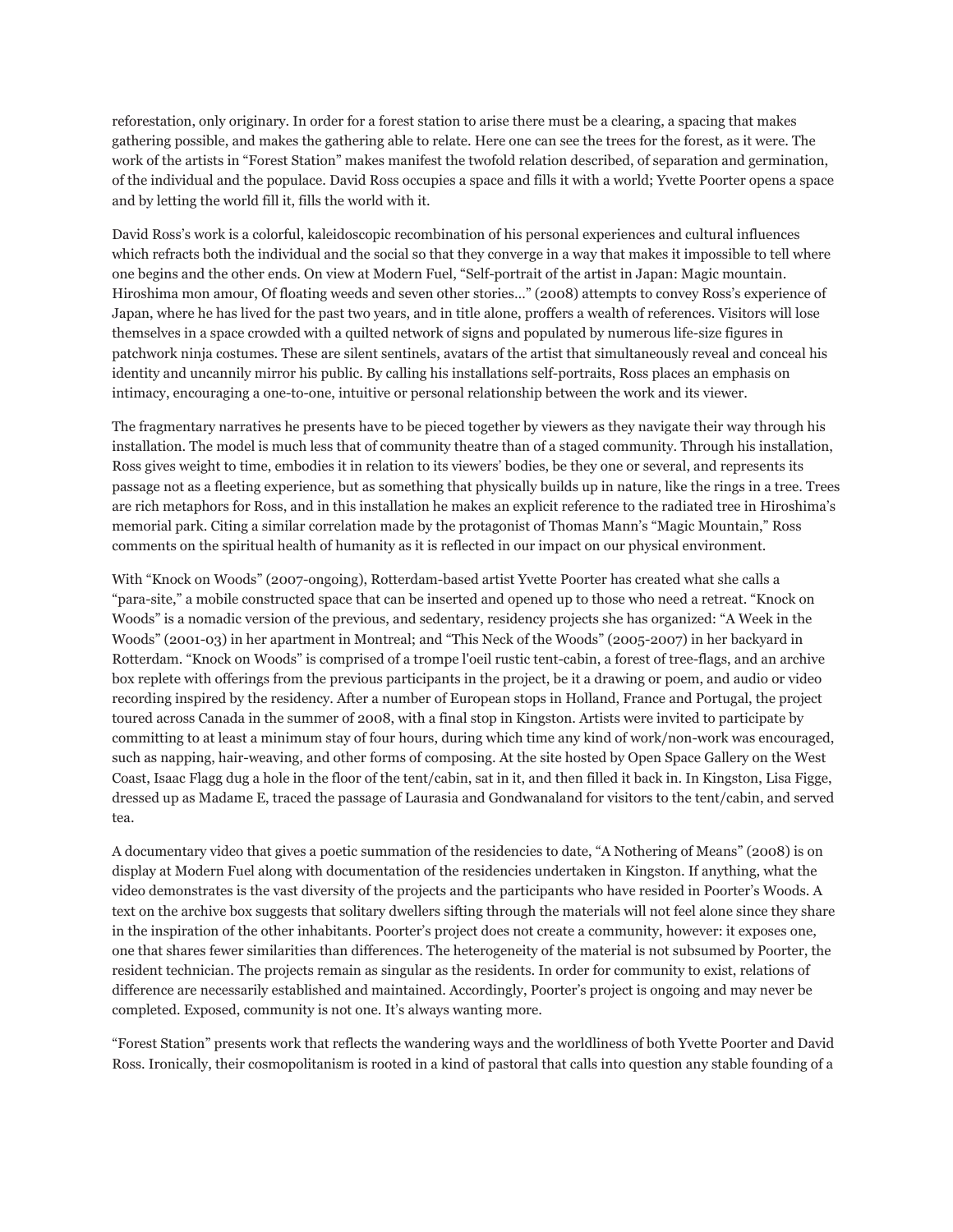reforestation, only originary. In order for a forest station to arise there must be a clearing, a spacing that makes gathering possible, and makes the gathering able to relate. Here one can see the trees for the forest, as it were. The work of the artists in "Forest Station" makes manifest the twofold relation described, of separation and germination, of the individual and the populace. David Ross occupies a space and fills it with a world; Yvette Poorter opens a space and by letting the world fill it, fills the world with it.

David Ross's work is a colorful, kaleidoscopic recombination of his personal experiences and cultural influences which refracts both the individual and the social so that they converge in a way that makes it impossible to tell where one begins and the other ends. On view at Modern Fuel, "Self-portrait of the artist in Japan: Magic mountain. Hiroshima mon amour, Of floating weeds and seven other stories…" (2008) attempts to convey Ross's experience of Japan, where he has lived for the past two years, and in title alone, proffers a wealth of references. Visitors will lose themselves in a space crowded with a quilted network of signs and populated by numerous life-size figures in patchwork ninja costumes. These are silent sentinels, avatars of the artist that simultaneously reveal and conceal his identity and uncannily mirror his public. By calling his installations self-portraits, Ross places an emphasis on intimacy, encouraging a one-to-one, intuitive or personal relationship between the work and its viewer.

The fragmentary narratives he presents have to be pieced together by viewers as they navigate their way through his installation. The model is much less that of community theatre than of a staged community. Through his installation, Ross gives weight to time, embodies it in relation to its viewers' bodies, be they one or several, and represents its passage not as a fleeting experience, but as something that physically builds up in nature, like the rings in a tree. Trees are rich metaphors for Ross, and in this installation he makes an explicit reference to the radiated tree in Hiroshima's memorial park. Citing a similar correlation made by the protagonist of Thomas Mann's "Magic Mountain," Ross comments on the spiritual health of humanity as it is reflected in our impact on our physical environment.

With "Knock on Woods" (2007-ongoing), Rotterdam-based artist Yvette Poorter has created what she calls a "para-site," a mobile constructed space that can be inserted and opened up to those who need a retreat. "Knock on Woods" is a nomadic version of the previous, and sedentary, residency projects she has organized: "A Week in the Woods" (2001-03) in her apartment in Montreal; and "This Neck of the Woods" (2005-2007) in her backyard in Rotterdam. "Knock on Woods" is comprised of a trompe l'oeil rustic tent-cabin, a forest of tree-flags, and an archive box replete with offerings from the previous participants in the project, be it a drawing or poem, and audio or video recording inspired by the residency. After a number of European stops in Holland, France and Portugal, the project toured across Canada in the summer of 2008, with a final stop in Kingston. Artists were invited to participate by committing to at least a minimum stay of four hours, during which time any kind of work/non-work was encouraged, such as napping, hair-weaving, and other forms of composing. At the site hosted by Open Space Gallery on the West Coast, Isaac Flagg dug a hole in the floor of the tent/cabin, sat in it, and then filled it back in. In Kingston, Lisa Figge, dressed up as Madame E, traced the passage of Laurasia and Gondwanaland for visitors to the tent/cabin, and served tea.

A documentary video that gives a poetic summation of the residencies to date, "A Nothering of Means" (2008) is on display at Modern Fuel along with documentation of the residencies undertaken in Kingston. If anything, what the video demonstrates is the vast diversity of the projects and the participants who have resided in Poorter's Woods. A text on the archive box suggests that solitary dwellers sifting through the materials will not feel alone since they share in the inspiration of the other inhabitants. Poorter's project does not create a community, however: it exposes one, one that shares fewer similarities than differences. The heterogeneity of the material is not subsumed by Poorter, the resident technician. The projects remain as singular as the residents. In order for community to exist, relations of difference are necessarily established and maintained. Accordingly, Poorter's project is ongoing and may never be completed. Exposed, community is not one. It's always wanting more.

"Forest Station" presents work that reflects the wandering ways and the worldliness of both Yvette Poorter and David Ross. Ironically, their cosmopolitanism is rooted in a kind of pastoral that calls into question any stable founding of a